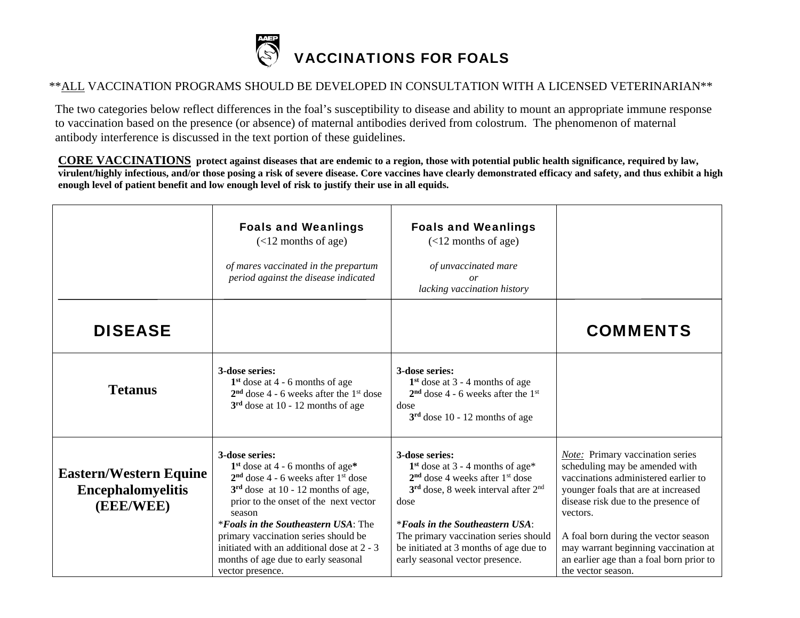

## \*\*ALL VACCINATION PROGRAMS SHOULD BE DEVELOPED IN CONSULTATION WITH A LICENSED VETERINARIAN\*\*

 The two categories below reflect differences in the foal's susceptibility to disease and ability to mount an appropriate immune response to vaccination based on the presence (or absence) of maternal antibodies derived from colostrum. The phenomenon of maternal antibody interference is discussed in the text portion of these guidelines.

**CORE VACCINATIONS protect against diseases that are endemic to a region, those with potential public health significance, required by law, virulent/highly infectious, and/or those posing a risk of severe disease. Core vaccines have clearly demonstrated efficacy and safety, and thus exhibit a high enough level of patient benefit and low enough level of risk to justify their use in all equids.** 

|                                                                        | <b>Foals and Weanlings</b><br>$(<12$ months of age)<br>of mares vaccinated in the prepartum<br>period against the disease indicated                                                                                                                                                                                                                                                        | <b>Foals and Weanlings</b><br>$(<12$ months of age)<br>of unvaccinated mare<br>or<br>lacking vaccination history                                                                                                                                                                                                         |                                                                                                                                                                                                                                                                                                                                                               |
|------------------------------------------------------------------------|--------------------------------------------------------------------------------------------------------------------------------------------------------------------------------------------------------------------------------------------------------------------------------------------------------------------------------------------------------------------------------------------|--------------------------------------------------------------------------------------------------------------------------------------------------------------------------------------------------------------------------------------------------------------------------------------------------------------------------|---------------------------------------------------------------------------------------------------------------------------------------------------------------------------------------------------------------------------------------------------------------------------------------------------------------------------------------------------------------|
| <b>DISEASE</b>                                                         |                                                                                                                                                                                                                                                                                                                                                                                            |                                                                                                                                                                                                                                                                                                                          | <b>COMMENTS</b>                                                                                                                                                                                                                                                                                                                                               |
| <b>Tetanus</b>                                                         | 3-dose series:<br>$1st$ dose at 4 - 6 months of age<br>$2nd$ dose 4 - 6 weeks after the 1 <sup>st</sup> dose<br>$3rd$ dose at 10 - 12 months of age                                                                                                                                                                                                                                        | 3-dose series:<br>$1st$ dose at 3 - 4 months of age<br>$2nd$ dose 4 - 6 weeks after the 1 <sup>st</sup><br>dose<br>$3rd$ dose 10 - 12 months of age                                                                                                                                                                      |                                                                                                                                                                                                                                                                                                                                                               |
| <b>Eastern/Western Equine</b><br><b>Encephalomyelitis</b><br>(EEE/WEE) | 3-dose series:<br>$1st$ dose at 4 - 6 months of age*<br>$2nd$ dose 4 - 6 weeks after $1st$ dose<br>$3rd$ dose at 10 - 12 months of age,<br>prior to the onset of the next vector<br>season<br><i>*Foals in the Southeastern USA</i> : The<br>primary vaccination series should be<br>initiated with an additional dose at 2 - 3<br>months of age due to early seasonal<br>vector presence. | 3-dose series:<br>$1st$ dose at 3 - 4 months of age*<br>$2nd$ dose 4 weeks after 1 <sup>st</sup> dose<br>$3rd$ dose, 8 week interval after $2nd$<br>dose<br><i>*Foals in the Southeastern USA:</i><br>The primary vaccination series should<br>be initiated at 3 months of age due to<br>early seasonal vector presence. | <b>Note:</b> Primary vaccination series<br>scheduling may be amended with<br>vaccinations administered earlier to<br>younger foals that are at increased<br>disease risk due to the presence of<br>vectors.<br>A foal born during the vector season<br>may warrant beginning vaccination at<br>an earlier age than a foal born prior to<br>the vector season. |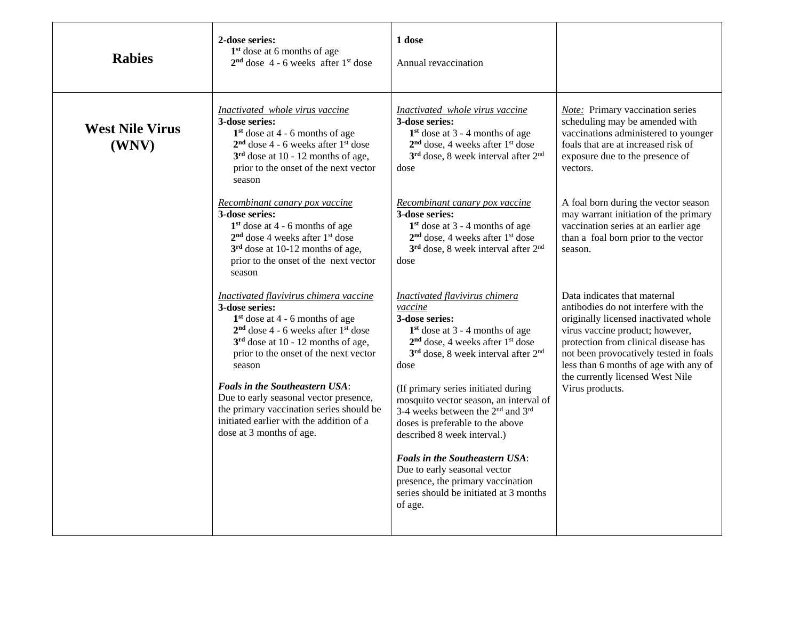| <b>Rabies</b>                   | 2-dose series:<br>$1st$ dose at 6 months of age<br>$2nd$ dose 4 - 6 weeks after 1 <sup>st</sup> dose                                                                                                                                                                                                                                                                                                                                       | 1 dose<br>Annual revaccination                                                                                                                                                                                                                                                                                                                                                                                                                                                                                                                                                                      |                                                                                                                                                                                                                                                                                                                                    |
|---------------------------------|--------------------------------------------------------------------------------------------------------------------------------------------------------------------------------------------------------------------------------------------------------------------------------------------------------------------------------------------------------------------------------------------------------------------------------------------|-----------------------------------------------------------------------------------------------------------------------------------------------------------------------------------------------------------------------------------------------------------------------------------------------------------------------------------------------------------------------------------------------------------------------------------------------------------------------------------------------------------------------------------------------------------------------------------------------------|------------------------------------------------------------------------------------------------------------------------------------------------------------------------------------------------------------------------------------------------------------------------------------------------------------------------------------|
| <b>West Nile Virus</b><br>(WNV) | Inactivated whole virus vaccine<br>3-dose series:<br>$1st$ dose at 4 - 6 months of age<br>$2nd$ dose 4 - 6 weeks after 1 <sup>st</sup> dose<br>$3rd$ dose at 10 - 12 months of age,<br>prior to the onset of the next vector<br>season                                                                                                                                                                                                     | Inactivated whole virus vaccine<br>3-dose series:<br>$1st$ dose at 3 - 4 months of age<br>$2nd$ dose, 4 weeks after 1 <sup>st</sup> dose<br>$3rd$ dose, 8 week interval after $2nd$<br>dose                                                                                                                                                                                                                                                                                                                                                                                                         | Note: Primary vaccination series<br>scheduling may be amended with<br>vaccinations administered to younger<br>foals that are at increased risk of<br>exposure due to the presence of<br>vectors.                                                                                                                                   |
|                                 | Recombinant canary pox vaccine<br>3-dose series:<br>$1st$ dose at 4 - 6 months of age<br>$2nd$ dose 4 weeks after $1st$ dose<br>$3rd$ dose at 10-12 months of age,<br>prior to the onset of the next vector<br>season                                                                                                                                                                                                                      | Recombinant canary pox vaccine<br>3-dose series:<br>$1st$ dose at 3 - 4 months of age<br>$2nd$ dose, 4 weeks after $1st$ dose<br>3 <sup>rd</sup> dose, 8 week interval after 2 <sup>nd</sup><br>dose                                                                                                                                                                                                                                                                                                                                                                                                | A foal born during the vector season<br>may warrant initiation of the primary<br>vaccination series at an earlier age<br>than a foal born prior to the vector<br>season.                                                                                                                                                           |
|                                 | Inactivated flavivirus chimera vaccine<br>3-dose series:<br>$1st$ dose at 4 - 6 months of age<br>$2nd$ dose 4 - 6 weeks after $1st$ dose<br>$3rd$ dose at 10 - 12 months of age,<br>prior to the onset of the next vector<br>season<br><b>Foals in the Southeastern USA:</b><br>Due to early seasonal vector presence,<br>the primary vaccination series should be<br>initiated earlier with the addition of a<br>dose at 3 months of age. | Inactivated flavivirus chimera<br>vaccine<br>3-dose series:<br>$1st$ dose at 3 - 4 months of age<br>$2nd$ dose, 4 weeks after $1st$ dose<br>3 <sup>rd</sup> dose, 8 week interval after 2 <sup>nd</sup><br>dose<br>(If primary series initiated during<br>mosquito vector season, an interval of<br>3-4 weeks between the 2 <sup>nd</sup> and 3 <sup>rd</sup><br>doses is preferable to the above<br>described 8 week interval.)<br><b>Foals in the Southeastern USA:</b><br>Due to early seasonal vector<br>presence, the primary vaccination<br>series should be initiated at 3 months<br>of age. | Data indicates that maternal<br>antibodies do not interfere with the<br>originally licensed inactivated whole<br>virus vaccine product; however,<br>protection from clinical disease has<br>not been provocatively tested in foals<br>less than 6 months of age with any of<br>the currently licensed West Nile<br>Virus products. |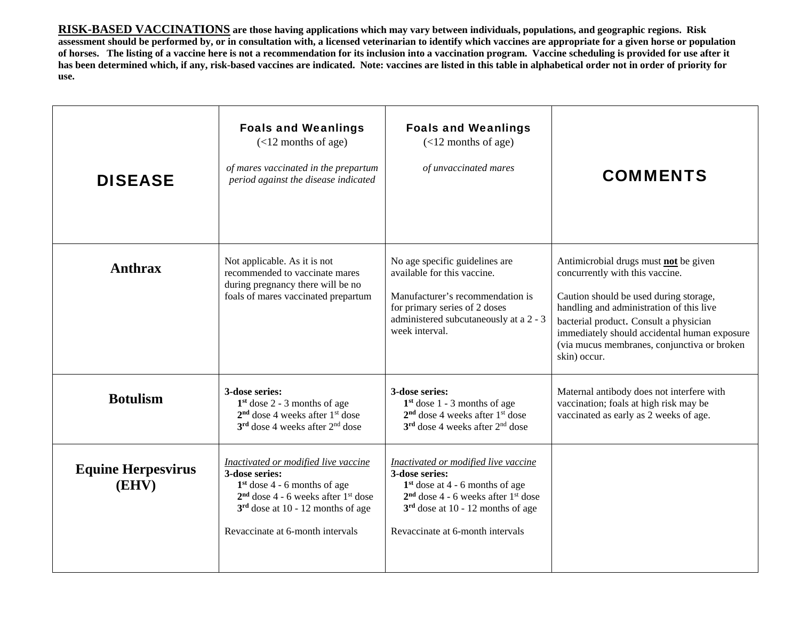**RISK-BASED VACCINATIONS are those having applications which may vary between individuals, populations, and geographic regions. Risk assessment should be performed by, or in consultation with, a licensed veterinarian to identify which vaccines are appropriate for a given horse or population of horses. The listing of a vaccine here is not a recommendation for its inclusion into a vaccination program. Vaccine scheduling is provided for use after it has been determined which, if any, risk-based vaccines are indicated. Note: vaccines are listed in this table in alphabetical order not in order of priority for use.** 

| <b>DISEASE</b>                     | <b>Foals and Weanlings</b><br>$(<12$ months of age)<br>of mares vaccinated in the prepartum<br>period against the disease indicated                                                                                      | <b>Foals and Weanlings</b><br>$(<12$ months of age)<br>of unvaccinated mares                                                                                                                                                | <b>COMMENTS</b>                                                                                                                                                                                                                                                                                                         |
|------------------------------------|--------------------------------------------------------------------------------------------------------------------------------------------------------------------------------------------------------------------------|-----------------------------------------------------------------------------------------------------------------------------------------------------------------------------------------------------------------------------|-------------------------------------------------------------------------------------------------------------------------------------------------------------------------------------------------------------------------------------------------------------------------------------------------------------------------|
| <b>Anthrax</b>                     | Not applicable. As it is not<br>recommended to vaccinate mares<br>during pregnancy there will be no<br>foals of mares vaccinated prepartum                                                                               | No age specific guidelines are<br>available for this vaccine.<br>Manufacturer's recommendation is<br>for primary series of 2 doses<br>administered subcutaneously at a 2 - 3<br>week interval.                              | Antimicrobial drugs must not be given<br>concurrently with this vaccine.<br>Caution should be used during storage,<br>handling and administration of this live<br>bacterial product. Consult a physician<br>immediately should accidental human exposure<br>(via mucus membranes, conjunctiva or broken<br>skin) occur. |
| <b>Botulism</b>                    | 3-dose series:<br>$1st$ dose 2 - 3 months of age<br>$2nd$ dose 4 weeks after $1st$ dose<br>$3rd$ dose 4 weeks after $2nd$ dose                                                                                           | 3-dose series:<br>$1st$ dose 1 - 3 months of age<br>$2nd$ dose 4 weeks after $1st$ dose<br>$3rd$ dose 4 weeks after $2nd$ dose                                                                                              | Maternal antibody does not interfere with<br>vaccination; foals at high risk may be<br>vaccinated as early as 2 weeks of age.                                                                                                                                                                                           |
| <b>Equine Herpesvirus</b><br>(EHV) | Inactivated or modified live vaccine<br>3-dose series:<br>$1st$ dose 4 - 6 months of age<br>$2nd$ dose 4 - 6 weeks after 1 <sup>st</sup> dose<br>$3rd$ dose at 10 - 12 months of age<br>Revaccinate at 6-month intervals | Inactivated or modified live vaccine<br>3-dose series:<br>$1st$ dose at 4 - 6 months of age<br>$2nd$ dose 4 - 6 weeks after 1 <sup>st</sup> dose<br>$3rd$ dose at 10 - 12 months of age<br>Revaccinate at 6-month intervals |                                                                                                                                                                                                                                                                                                                         |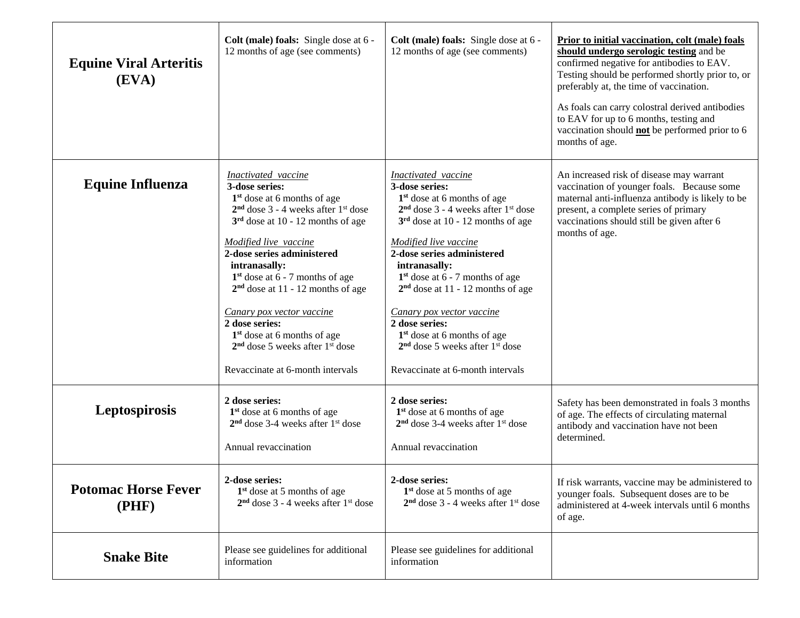| <b>Equine Viral Arteritis</b><br>(EVA) | Colt (male) foals: Single dose at 6 -<br>12 months of age (see comments)                                                                                                                                                                                                                                                                                                                                                                                                          | Colt (male) foals: Single dose at 6 -<br>12 months of age (see comments)                                                                                                                                                                                                                                                                                                                                                                                                                           | Prior to initial vaccination, colt (male) foals<br>should undergo serologic testing and be<br>confirmed negative for antibodies to EAV.<br>Testing should be performed shortly prior to, or<br>preferably at, the time of vaccination.<br>As foals can carry colostral derived antibodies<br>to EAV for up to 6 months, testing and<br>vaccination should <b>not</b> be performed prior to 6<br>months of age. |
|----------------------------------------|-----------------------------------------------------------------------------------------------------------------------------------------------------------------------------------------------------------------------------------------------------------------------------------------------------------------------------------------------------------------------------------------------------------------------------------------------------------------------------------|----------------------------------------------------------------------------------------------------------------------------------------------------------------------------------------------------------------------------------------------------------------------------------------------------------------------------------------------------------------------------------------------------------------------------------------------------------------------------------------------------|----------------------------------------------------------------------------------------------------------------------------------------------------------------------------------------------------------------------------------------------------------------------------------------------------------------------------------------------------------------------------------------------------------------|
| <b>Equine Influenza</b>                | Inactivated vaccine<br>3-dose series:<br>$1st$ dose at 6 months of age<br>$2nd$ dose 3 - 4 weeks after $1st$ dose<br>$3rd$ dose at 10 - 12 months of age<br>Modified live vaccine<br>2-dose series administered<br>intranasally:<br>$1st$ dose at 6 - 7 months of age<br>$2nd$ dose at 11 - 12 months of age<br>Canary pox vector vaccine<br>2 dose series:<br>$1st$ dose at 6 months of age<br>$2nd$ dose 5 weeks after 1 <sup>st</sup> dose<br>Revaccinate at 6-month intervals | <b>Inactivated</b> vaccine<br>3-dose series:<br>$1st$ dose at 6 months of age<br>$2nd$ dose 3 - 4 weeks after 1 <sup>st</sup> dose<br>$3rd$ dose at 10 - 12 months of age<br>Modified live vaccine<br>2-dose series administered<br>intranasally:<br>$1st$ dose at 6 - 7 months of age<br>$2nd$ dose at 11 - 12 months of age<br>Canary pox vector vaccine<br>2 dose series:<br>$1st$ dose at 6 months of age<br>$2nd$ dose 5 weeks after 1 <sup>st</sup> dose<br>Revaccinate at 6-month intervals | An increased risk of disease may warrant<br>vaccination of younger foals. Because some<br>maternal anti-influenza antibody is likely to be<br>present, a complete series of primary<br>vaccinations should still be given after 6<br>months of age.                                                                                                                                                            |
| Leptospirosis                          | 2 dose series:<br>$1st$ dose at 6 months of age<br>$2nd$ dose 3-4 weeks after $1st$ dose<br>Annual revaccination                                                                                                                                                                                                                                                                                                                                                                  | 2 dose series:<br>1 <sup>st</sup> dose at 6 months of age<br>$2nd$ dose 3-4 weeks after $1st$ dose<br>Annual revaccination                                                                                                                                                                                                                                                                                                                                                                         | Safety has been demonstrated in foals 3 months<br>of age. The effects of circulating maternal<br>antibody and vaccination have not been<br>determined.                                                                                                                                                                                                                                                         |
| <b>Potomac Horse Fever</b><br>(PHF)    | 2-dose series:<br>$1st$ dose at 5 months of age<br>$2nd$ dose 3 - 4 weeks after $1st$ dose                                                                                                                                                                                                                                                                                                                                                                                        | 2-dose series:<br>1 <sup>st</sup> dose at 5 months of age<br>$2nd$ dose 3 - 4 weeks after $1st$ dose                                                                                                                                                                                                                                                                                                                                                                                               | If risk warrants, vaccine may be administered to<br>younger foals. Subsequent doses are to be<br>administered at 4-week intervals until 6 months<br>of age.                                                                                                                                                                                                                                                    |
| <b>Snake Bite</b>                      | Please see guidelines for additional<br>information                                                                                                                                                                                                                                                                                                                                                                                                                               | Please see guidelines for additional<br>information                                                                                                                                                                                                                                                                                                                                                                                                                                                |                                                                                                                                                                                                                                                                                                                                                                                                                |